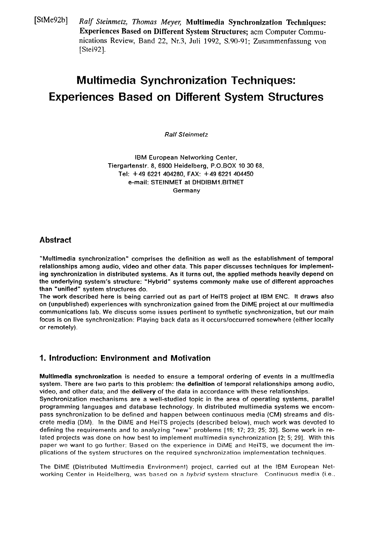[StMe92b] *Raif Steinmetz, Thomas Meye,;* **Multimedia Synchronization Techniques: Experiences Based on Different System Structures; acm Computer Commu**nications Review, Band 22, Nr.3, Juli 1992, S.90-91; Zusammenfassung von [Slei92].

# **Multimedia Synchronization Techniques: Experiences Based on Different System Structures**

Ralf Steinmetz

IBM European Networking Center, Tiergartenstr. 8, 6900 Heidelberg, P.O.BOX 10 30 68, Tel: +49 6221 404280. FAX: +49 6221 404450 e-mail: STEINMET at DHDIBM1.BITNET **Germany** 

### **Abstract**

"Multimedia synchronization" cornprises the definition as well as the establishrnent of temporal relationships among audio, video and other data. This paper discusses techniques for implementing synchronization in distributed systems. As it turns out, the applied methods heavily depend on the underlying system's structure: "Hybrid" systems commonly make use of different approaches than "unified" system structures do.

The work described here is being carried out as part of HeiTS project at IBM ENC. **It** draws also on (unpublished) experiences with synchronization gained frorn the DiME project at our rnultirnedia comrnunications lab. We discuss sorne issues pertinent to synthetic synchronization. but our main focus is on live synchronization: Playing back data as it occurs/occurred somewhere (either locally or rernotely).

# **1. Introduction: Environment and Motivation**

Multimedia synchronization is needed to ensure a temporal ordering of events in a rnultirnedia system. There are two parts to this problem: the definition of temporal relationships among audio, video. and other data; and the delivery of the data in accordance with these relationships.

Synchronization mechanisms are a well-studied topic in the area of operating systems, parallel programming languages and database technology. In distributed multimedia systems we encompass synchronization to be defined and happen between continuous media (CM) streams and discrete media (DM). In the DiME and HeiTS projects (described below), much work was devoted to defining the requirements and to analyzing "new" problems **[16;** 17; 23; 25; **32).** Some work in related projects was done on how best to implement multimedia synchronization [2; 5; 29]. With this paper we want to go further: Based on the experience in DiME and HeiTS, we document the implications of the system structures on the required synchronization implementation techniques.

The DiME (Distributed Multimedia Environment) project, carried out at the IBM European Networking Center in Heidelberg, was based on a *hybrid* system structure. Continuous media (i.e.,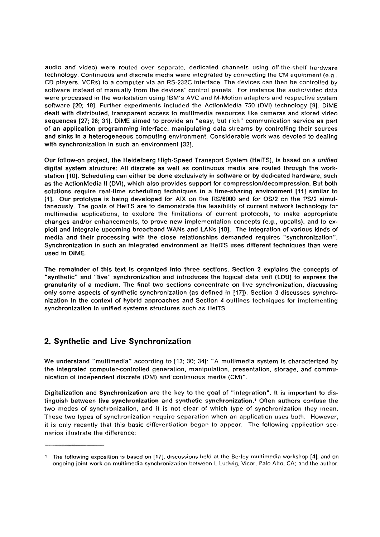audio and video) were routed over separate, dedicated channels using off-the-shelf hardware technology. Continuous and discrete media were integrated by connecting the CM equipment (e.g., CD players, VCRs) to a computer via an RS-232C interface. The devices can then be controlled by software instead of manually from the devices' control panels. For instance the audio/video data were processed in the workstation using IBM's AVC and M-Motion adapters and respective system software [20; 19]. Further experiments included the ActionMedia 750 (DVI) technology [9]. DiME dealt with distributed, transparent access to multimedia resources like cameras and stored video sequences [27; 28; 31]. DiME aimed to provide an "easy, but rich" communication service as part of an application prograrnrning interface. rnanipulating data streams by controlling their sources and sinks in a heterogeneous computing environment. Considerable work was devoted to dealing with synchronization in such an environment [32].

Our follow-on project, the Heidelberg High-Speed Transport System (HeiTS), is based on a *unilied*  digital system structure: All discrete as well as continuous media are routed through the workstation [IO]. Scheduling can either be done exclusively in soflware or by dedicated hardware. such as the ActionMedia II (DVI), which also provides support for **cornpression/decornpression.** But both solutions require real-time scheduling techniques in a time-sharing environment [11] similar to [I]. Our prototype is being developed for AIX on the **RS/6000** and for 0S/2 on the PSI2 sirnultaneously. The goals of HeiTS are to dernonstrate the feasibility of current network technology for multimedia applications, to explore the limitations of current protocols, to make appropriate changes and/or enhancements, to prove new implementation concepts (e.g., upcalls), and to exploit and integrate upcoming broadband WANs and LANs [10]. The integration of various kinds of media and their processing with the close relationships dernanded requires "synchronization". Synchronization in such an inlegrated environment as HeiTS uses different techniques than were used in DiME.

The remainder of this text is organized into three sections. Section 2 explains the concepts of "synthetic" and "live" synchronization and introduces the logical data unit (LDU) to express the granularity of a medium. The final two sections concentrate on live synchronization, discussing only some aspects of synthetic synchronization (as defined in [17]). Section 3 discusses synchronization in the context of hybrid approaches and Section 4 outlines techniques for implementing synchronization in unified systems structures such as HeiTS.

# **2. Synthetic and Live Synchronization**

We understand "multimedia" according to [13; 30; 34]: "A multimedia system is characterized by the integrated computer-controlled generation, manipulation, presentation, storage, and communication of independent discrete (DM) and continuous media (CM)".

Digitalization and Synchronization are the key to the goal of "integration". It is important to distinguish between live synchronization and synthetic synchronization.<sup>4</sup> Often authors confuse the two modes of synchronization, and it is not clear of which type of synchronization they mean. These two types of synchronization require separation when an application uses both. However, it is only recently that this basic differentiation began to appear. The following application scenarios illustrate the difference:

The following exposition is based on [17], discussions held at the Berley multimedia workshop [4], and on ongoing joint work on multimedia synchronization between L.Ludwig, Vicor, Palo Alto, CA; and the author.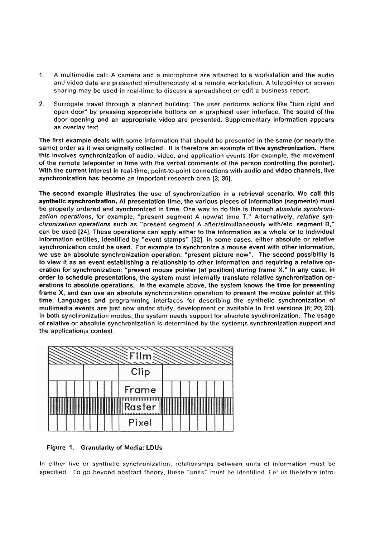- 1. A multimedia call: A camera and a microphone are attached to a workstation and the audio and video data are presented simultaneously at a rernote workstation. A telepointer or screen sharing may be used in real-time to discuss a spreadsheet or edit a business report.
- 2. Surrogate travel through a planned building: The user performs actions like "turn right and Open door" by pressing appropriate buttons on a graphical User interface. The sound of the door opening and an appropriate video are presented. Supplementary inforrnation appears as overlay text.

The first example deals with some information that should be presented in the same (or nearly the same) order as it was originally collected. It is therefore an example of live synchronization. Here this involves synchronization of audio, video, and application events (for example, the movement of the rernote telepointer in time with the verbal comrnents of the Person controlling the pointer). With the current interest in real-time. point-to-point connections with audio and video channels. live synchronization has become an important research area [3; 36].

The second exarnple illustrates the use of synchronization in a retrieval scenario. We call this synthetic synchronization. At presentation time, the various pieces of inforrnation (segments) must be properly ordered and synchronized in time. One way to do this is through absolute synchronization operations, for example, "present segment A now/at time T." Alternatively, relative synchronization operations such as "present segment A after/simultaneously with/etc. segment B," can be used **[24].** These operations can apply either to the inforrnation as a whole or to individual inforrnation entities, identified by "event starnps" **1321.** In some cases. either absolute or relative synchronization could be used. For example to synchronize a mouse event with other information, we use an absolute synchronization operation: "present picture now". The second possibility is to view it as an event establishing a relationship to other inforrnation and requiring a relative operation for synchronization: "present mouse pointer (at position) during frame X." In any case, in order to schedule presentations, the system must internally translate relative synchronization operations to absolute operations. In the example above, the system knows the time for presenting frame X, and can use an absolute synchronization operation to present the mouse pointer at this time. Languages and programming interfaces for describing the synthetic synchronization of multimedia events are just now under study, development or available in first versions [8; 20; 23]. In both synchronization modes, the system needs support for absolute synchronization. The usage of relative or absolute synchronization is determined by the systemis synchronization support and the applicationis context.



#### Figure 1. Granularity **of** Media: **LDUs**

In either live or synthetic synchronization, relationships between units of information must be specified. To go beyond abstract theory, these "units" must be identified. Let us therefore intro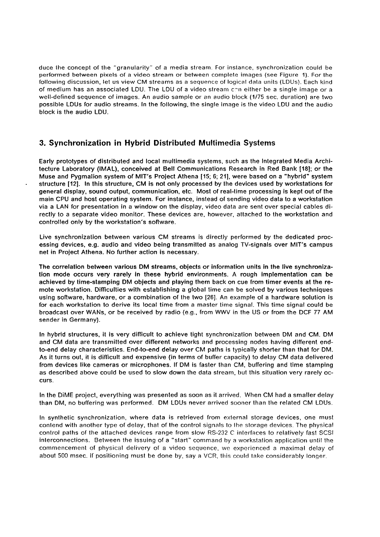duce the concept of the "granularity" of a media stream. For instance, synchronization could be perforrned between pixels of a video stream or between complete images (see Figure 1). For the following discussion, let us view CM streams as a sequence of logical data units (LDUs). Each kind of medium has an associated LDU. The LDU of a video stream con either be a single image or a well-defined sequence of irnages. An audio sarnple or an audio block **(1175** sec. duration) are two possible LDUs for audio strearns. In the following, the single image is tlie video LDU and the audio block is the audio LDU.

### **3. Synchronization in Hybrid Distributed Multimedia Systems**

Early prototypes of distributed and local multimedia systems, such as the Integrated Media Architecture Laboratory (IMAL). conceived at Bell Comrnunications Research in Red Bank **[18];** or the Muse and Pygmalion systern of MIT's Project Athena **115;** 6; 211, were based on a "hybrid" systern structure [12]. In this structure, CM is not only processed by the devices used by workstations for general display, sound output, cornmunication. etc. Most of real-time processing is kept out of the main CPU and host operating system. For instance, instead of sending video data to a workstation via a LAN for presentation in a window on the display, video data are sent over special cables directly to a separate video monitor. These devices are, however, attached to the workstation and controlled only by the workstation's soffware.

Live synchronization between various CM streams is directly perforrned by the dedicated processing devices, e.g. audio and video being transmitted as analog TV-signals over MIT's campus net in Project Athena. No further action is necessary.

The correlation between various DM streams, objects or information units in the live synchronization mode occurs very rarely in these hybrid environrnents. A rough implementation can be achieved by time-stamping DM objects and playing them back on cue from timer events at the rernote workstation. Difficulties with establishing a global time can be solved by various techniques using soffware, hardware, or a cornbination of the two **[26].** An exaniple of a hardware solution is for each workstation to derive its local time from a master time signal. This time signal could be broadcast over WANs, or be received by radio (e.g., from WWV in the US or from the DCF 77 AM sender in Germany).

In hybrid structures, it is very difficult to achieve tight synchronization between DM and CM. DM and CM data are transmitted over different networks and processing nodes having different endto-end delay characteristics. End-to-end delay over CM paths is typically shorter than that for DM. As it turns out, it is difficult and expensive (in terms of buffer capacity) to delay CM data delivered from devices like cameras or microphones. If DM is faster than CM, buffering and time stamping as described above could be used to slow down the data strearn, but this situation very rarely occurs.

In the DiME project, everything was presented as soon as it arrived. When CM had a smaller delay than DM, no buffering was performed. DM LDUs never arrived sooner than the related CM LDUs.

In synthetic synchronization, where data is retrieved from external storage devices, one must conlend with another type of delay. that of the control signals 10 Ihe storage devices. The physical control paths of the attached devices range from slow RS-232 C inlerfaces lo relatively fast SCSl interconnections. Between the issuing of a "start" command by a workstation application until the commencement of physical delivery of a video sequence, we experienced a maximal delay of about 500 msec. If positioning must be done by, say a VCR, this could take considerably longer.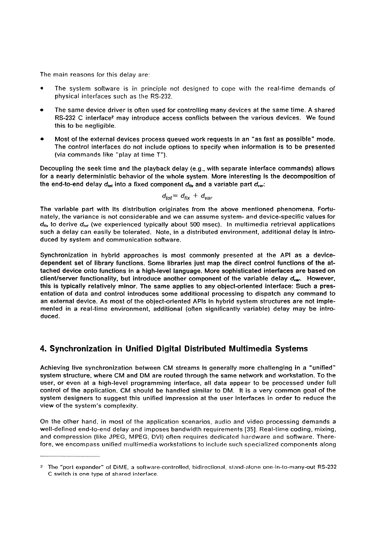The main reasons for this delay are:

- The syslern soltware is in principle not designed to cope with the real-time dernands of physical interfaces such as the RS-232.
- The Same device driver is often used for controlling many devices at the same time. A shared RS-232 C interface<sup>2</sup> may introduce access conflicts between the various devices. We found this to be negligible.
- Most of the external devices process queued work requests in an "as fast as possible" mode. The control interfaces do not include options to specify when information is to be presented (via commands Iike "play at time T").

Decoupling the seek time and the playback delay (e.g.. with separate interface commands) allows for a nearly deterministic behavior of the whole system. More interesting is the decornposition of the end-to-end delay  $d_{tot}$  into a fixed component  $d_{fix}$  and a variable part  $d_{var}$ :

$$
d_{tot} = d_{fix} + d_{var}
$$

The variable pari with its distribution originates from the above mentioned phenomena. Foriunately, the variance is not considerable and we can assume system- and device-specific values for **dfix** to derive **die,** (we experienced typically about 500 msec). In multimedia retrieval applications such a delay can easily be tolerated. Note, in a distributed environment, additional delay is introduced by system and communication soffware.

Synchronization in hybrid approaches is most commonly presented at the API as a devicedependent set of library functions. Some libraries just map the direct control functions of the attached device onto functions in a high-level language. More sophisticated interfaces are based on client/server functionality, but introduce another component of the variable delay  $d_{\text{var}}$ . However, this is typically relatively minor. The same applies to any object-oriented interface: Such a presentation of data and control introduces some additional processing to dispatch any comrnand to an external device. Ac most of the object-oriented APIs in hybrid system structures are not implernented in a real-time environment, additional (often significantly variable) delay may be introduced.

# **4. Synchronization in Unified Digital Distributed Multimedia Systems**

Achieving live synchronization between CM streams is generally more challenging in a "unified" system structure, where CM and DM are routed through the Same network and workstation. To the user, or even at a high-level programming interface, all data appear to be processed under full control of the application. **CM** should be handled similar to DM. It is a very common goal of the system designers to suggest this unified impression at the user interfaces in order to reduce the view of the system's complexity.

On the other hand, in most of the application scenarios, audio and video processing demands a well-defined end-to-end delay and imposes bandwidth requirements [35]. Real-time coding, mixing, and compression (like JPEG, MPEG, DVI) often requires dedicated hardware and software. Therefore, we encompass unified multimedia workstations to include such specialized components along

<sup>&</sup>lt;sup>2</sup> The "port expander" of DiME, a software-controlled, bidirectional. stand-atone one-in-to-many-out RS-232 C switch **is** one type of shared interface.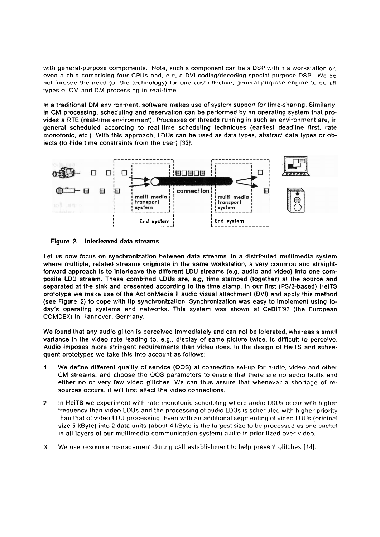with general-purpose components. Note, such a component can be a DSP within a workstation or, even a chip comprising four CPUs and, e.g. a **DVI** coding/decoding special piirpose DSP. We do not foresee the need (or the technology) for one cost-effective, general-purpose engine to do all types of CM and DM processing in real-time.

In a traditional DM environment, software makes use of system support for time-sharing. Similarly, in CM processing. scheduling and reservation can be performed by an operating system that provides a RTE (real-time environment). Processes or threads running in such an environment are, in general scheduled according to real-time scheduling techniques (earliest deadline first, rate monotonic, etc.). With this approach. LDUs can be used as data types, abstract data types or objects (10 hide time constraints from the user) **[33].** 



Figure 2. lnterleaved data streams

Let us now focus on synchronization between data streams. In a distributed multimedia system where multiple, related streams originate in the same workstation, a very common and straightforward approach is to interleave the different LDU streams (e.g. audio and video) into one composite LDU stream. These cornbined LDUs are. e.g. time stamped (together) at the source and separated at the sink and presented according to the time stamp. In our first (PS/2-based) HeiTS prototype we make use of the ActionMedia II audio visual altachment (DVI) and apply this method (see Figure 2) to cope with lip synchronization. Synchronization was easy to implement using today's operating systems and networks. This system was shown at CeBlT'92 (the European COMDEX) in Hannover. Germany.

We found that any audio glitch is perceived immediately and can not be tolerated, whereas a small variance in the video rate leading to. e.g., display of Same picture twice, is difficult to perceive. Audio imposes more stringent requirements than video-does. In the design of HeiTS and subsequent prototypes we take this into account as follows:

- **I.** We define different quality of service (QOS) at connection set-up for audio, video and other CM streams. and choose the QOS parameters to ensure that there are no audio faults and either no or very few video glitches. We can thus assure that whenever a shortage of resources occurs. it will first affect the video connections.
- 2. In HeiTS we experiment with rate monotonic scheduling where audio LDUs occur with higher frequency than video LDUs and the processing of audio LDUs is scheduled with higher priority than that of video LDU processing. Even with an additional segmenting of video LDUs (original size 5 kßyte) into 2 data units (about 4 kßyte is the largest size to be processed as one packet in all layers of our multimedia communication system) audio is prioritized over video.
- 3. We use resource management during call establishment to help prevent glitches [14].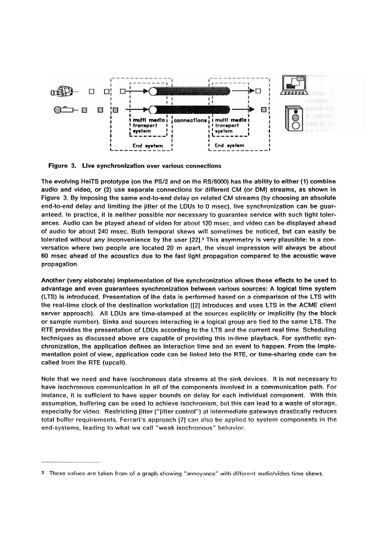

Figure 3. Live synchronization over various connections

The evolving HeiTS prototype (on the PS/2 and on the RS/6000) has the ability to either (1) combine audio and video. or (2) use separate connections for different CM (or DM) streams. as shown in Figure 3. By imposing the Same end-to-end delay on related CM streams (by choosing an absolute end-to-end delay and limiting Ihe jitter of the LDUs to 0 msec), live synchronization can be guaranteed. In practice, it is neilher possible nor necessary to guarantee service with such tight tolerances. Audio can be played ahead of video for about 120 msec, and video can be displayed ahead of audio for about 240 msec. Both temporal skews will sornetimes be noticed, but can easily be tolerated without any inconvenience by the user [22].<sup>3</sup> This asymmetry is very plausible: In a conversation where two people are located 20 m apart, the visual impression will always be about 60 msec ahead of the acoustics due to the fast light propagation compared to the acoustic wave propagation.

Another (very elaborate) implementation of live synchronization allows these effects to be used to advantage and even guarantees synchronization between various sources: A logical time system (LTS) is introduced. Presentation of the data is performed based on a comparison of the LTS with the real-time clock of the destination workstation ([2] introduces and uses LTS in the ACME client Server approach). All LDUs are time-stamped at the sources explicitly or implicitly (by the block or sample number). Sinks and sources interacting in a logical group are tied to the Same LTS. The RTE provides the presentation of LDUs according to the LTS and the current real time. Scheduling techniques as discussed above are capable of providing this in-time playback. For synthetic synchronization, the application defines an interaction time and an event to happen. From the implementation point of view, application code can be linked into the RTE, or time-sharing code can be called from the RTE (upcall).

Note that we need and have isochronous data streams at the sink devices. It is not necessary to have isochronous communication in all of the components involved in a communication path. For instance, it is sufficient to have upper bounds on delay for each individual component. With this assumption, buffering can be used to achieve isochronism, but this can lead to a waste of storage, especially for video. Restricting jitter ("jitter control") at intermediate gateways drastically reduces total buffer requirements. Ferrari's approach [7] can also be applied to system components in the end-systems, leading to what we call "weak isochronous" behavior.

<sup>&</sup>lt;sup>3</sup> These values are taken from of a graph showing "annoyance" with different audio/video time skews.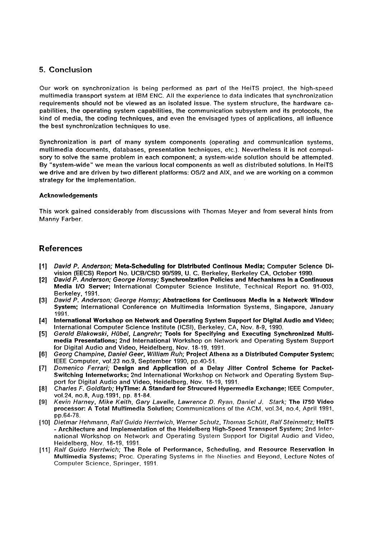#### **5. Conclusion**

Our work on synchronization is being performed as parl of Ihe HeiTS project. the high-speed multimedia transport system at IBM ENC. All the experience lo data indicates that synchronization requirements should not be viewed as an isolated issue. The system structure. the hardware capabilities, the operating system capabilities, the communication subsystem and its protocols, the kind of rnedia, the coding techniques, and even the envisaged types of applications, all influence the best synchronization techniques to use.

Synchronization is part of many system components (operating and communication systems, multimedia documents, databases, presentation techniques, etc.). Nevertheless it is not compulsory to solve the same problem in each component; a system-wide solution should be attempted. By "system-wide" we mean the various local components as well as distributed solutions. In HeiTS we drive and are driven by two different platforms: OS/2 and AIX, and we are working on a comrnon strategy for the implementation.

#### Acknowledgements

This work gained considerably from discussions with Thomas Meyer and from several hints from Manny Farber.

#### **References**

- [I] **David P. Anderson;** Meta-Scheduling for Distributed Continous Media; Computer Science Division **(EECS)** Report No. UCB/CSD 90/599, U. C. Berkeley, Berkeley CA. October 1990.
- **[2] .David P. Anderson; George Homsy;** Synchronization Policies and Mechanisms in a Continuous Media 110 Server; lnternational Computer Science Institute, Technical Report no. 91-003, Berkeley, 1991.
- **(31 David** *P.* **Anderson; George Homsy;** Abstractions for Continuous Media in a Network Window System; lnternational Conference on Multimedia Information Systems, Singapore, January 1991.
- [4] lnternational Workshop on Network and Operating System Support for Digital Audio and Video; lnternational Computer Science Institute (ICSI). Berkeley. CA, Nov. 8-9. 1990.
- (51 **Gerold Blakowski, Hübel, Langrehr;** Tools for Specifying and Executing Synchronized Multimedia Presentations; 2nd lnternational Workshop on Network and Operating System Support for Digital Audio and Video, Heidelberg, Nov. 18-19, 1991.
- [6] **Georg Champine, Daniel Geer. William Ruh;** Project Athena as a Distributed Computer System; IEEE Computer, vo1.23 n0.9. September 1990, pp.40-51.
- **[7] Domenico Ferrari;** Design and Application of a Delay Jitter Control Scheme for Packet-Switching Internetworks; 2nd lnternational Workshop on Network and Operating System Support for Digital Audio and Video, Heidelberg, Nov. 18-19. 1991.
- (8) **Charles F. Goldlarb;** HyTitne: A Standard for Strucured Hypermedia Exchange; IEEE Computer, vo1.24. no.8, Aug.1991, pp. 81-84.
- [9] Kevin Harney, Mike Keith, Gary Lavelle, Lawrence D. Ryan, Daniel J. Stark; The 1750 Video processor: A Total Multimedia Solution; Communicalions of the ACM, vo1.34, no.4, April 1991, pp.64-78.
- [10] Dietmar Hehmann, Ralf Guido Herrtwich, Werner Schulz, Thomas Schütt, Ralf Steinmetz; HeiTS - Architecture and Implementation of the Heidelberg High-Speed Transport System; 2nd International Workshop on Network and Operating System Support for Digital Audio and Video, Heidelberg, Nov. 18-19. 1991.
- [11] Rall Guido Herrlwich; The Role of Performance, Scheduling, and Resource Reservation in Multimedia Systems; Proc. Operating Systems in the Nineties and Beyond, Lecture Notes of Computer Science, Springer. 1991.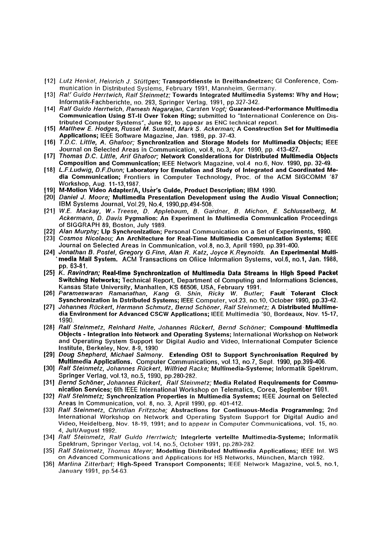- 1121 **Lutz Henkel, Heinricl) J. Stijttgen;** Transportdienste in Breitbandnetzen; GI Conference, Communication in Distributed Systems, February 1991, Mannheim, Germany.
- [13] Ral.' Guido Herrtwich, Rall Steinmetz; Towards Integrated Multimedia Systems: Why and How; Informatik-Fachberichte, no. 293, Springer Verlag, 1991, pp.327-342.
- (141 **Ralf Guido Herrtwich, Ramesl~ Nagarajan, Carsten Vogt;** Guaranteed-Performance Multimedia Communication Using ST-II Over Token Ring; submitted to "International Conference on Distributed Computer Systems", June 92, to appear as ENC technical report.
- (151 **Mallhew** E. **Hodges, Russe1 M. Susnett, Mark S. Ackernlan; A** Construction Set for Multimedia Applications; IEEE Soflware Magazine, Jan. 1989, pp. 37-43.
- [I61 **T.D.C. Little, A. Ghafoor;** Synchronization and Storage Models for Multimedia Objects; IEEE Journal on Selected Areas in Communication, vo1.8, no.3, Apr. 1990, pp. 413-427.
- (171 **Thomas D.C. Little, Arif Ghafoor;** Network Considerations for Distributed Multimedia Objects Composition and Communication; IEEE Network Magazine, vo1.4 no.6, Nov. 1990, pp. 32-49.
- (18) **L.F.Ludwig, D.F.Dunn;** Laboratory lor Emulation and Study of lntegrated and Coordinated Media Communication; Frontiers in Computer Technology, Proc. of the ACM SIGCOMM '87 Workstiop. Aug. 11-13,1987.
- [19] M-Motion Video Adapter/A, User's Guide, Product Description; IBM 1990.
- (201 **Daniel J. Moore;** Multimedia Presentation Development using the Audio Visual Connection; IBM Systems Journal. Vo1.29, No.4. 1990,pp.494-508.
- (21) W.E. **Mackay, W.. Treese, D. Applebaum, B. Gaidner, B. Michon, E. Schlusselberg, M. Ackermann, D. Davis** Pygmalion: An Experiment in Multimedia Communication Proceedings of SIGGRAPH 89, Boston, July 1989.
- [22] **Alan Murphy;** Llp Synchronlzation; Personal Cornmunication on a Set of Experiments, 1990.
- 1231 **Cosmos Nicolaou;** An Architecture for Real-Time Multimedia Communlcatlon Systems; IEEE Journal on Selected Areas in Communication, vo1.8, no.3, April 1990, pp.391-400.
- (241 **Jonathai~** B. **Postel, Gregory G.Finn, Alan R. Katz. Joyce K.Reynolds.** An Experimental Multi media Mail System. ACM Transactions on Ofiice Information Systems, vol.6, no.1, Jan. 1988, PP. 63-81.
- [25] K. **Ravindran;** Real-time Synchronization of Multimedia Data Streams in High Speed Packet Switching Networks; Technical Report, Department of Computing and Informations Sciences, Kansas State University, Manhatten, KS 66506, USA, February 1991.
- [26] **Parameswaran Ramanathan, Kang G. Shin. Ricky W. Butler;** Fault Tolerant Clock Sysnchronization in Dstributed Systems; IEEE Computer, vo1.23. no.10, October 1990, pp.33-42.
- 127] Johannes Rückert, Hermann Schmutz, Bernd Schöner, Ralf Steinmetz; A Distributed Multimedia Environment for Advanced CSCW Applications; IEEE Multimedia '90, Bordeaux, Nov. 15-17, 1990.
- 1281 **Ralf Steinmetz, Reinhard Heile, Johannes Rückert, Bernd Scl~öner;** Compound .Multimedia Objects - Integration into Network and Operating Systems; International Workshop on Network and Operating System Suppori for Digital Audio and Video, International Computer Science Institute, Berkeley, Nov. 8-9, 1990
- (291 **Doug Shepherd, Michael Salmony.** Extending OS1 to Support Synchronisation Required by Multimedia Applications. Computer Communications, vol.13, no.7, Sept. 1990, pp.399-406.
- (301 **Ralf Steinmetz, Joliannes Rückert, Wilfried Racke;** Multiinedia-Systetne; Informatik Spektrum, Springer Verlag, vo1.13, no.5, 1990, pp.280-282.
- [31] Bernd Schöner, Johannes Rückert, Ralf Steinmetz; Media Related Requirements for Communication Services; 6th IEEE International Workshop on Telernatics. Corea. September 1991.
- 132) **Ralf Steinmetz;** Synchronization Properties in Multimedia Systems; IEEE Journal on Selected Areas in Communication, vol. 8, no. 3, April 1990, pp. 401-412.
- 1331 **Ralf Steinmetz, Christian Fritzsche;** Abstractions for Continuous-Media Programming; 2nd International Workshop on Network and Operating System Support for Digital Audio and Video. Heidelberg. Nov. 18-19. 1991; and to appear in Computer Communications. vol. 15, no. 4, Jult/August 1992.
- [34] Ralf Steinmetz, Ralf Guido Herrlwich; Integrierte verteilte Multimedia-Systeme; Informatik Spektrum, Springer Verlag, vol.14, no.5, October 1991, pp.280-282.
- 1351 Ralf Steinmetz, Thomas Meyer; Modelling Distributed Multimedia Applications; IEEE Int. WS on Advanced Communications and Applications for HS Networks, München, March 1992.
- **1361 Martirla Zitterbart;** High-Speed Transport Components; IEEE Nelwork Magazine. vo1.5. no.1. January 1991, pp.54-63.